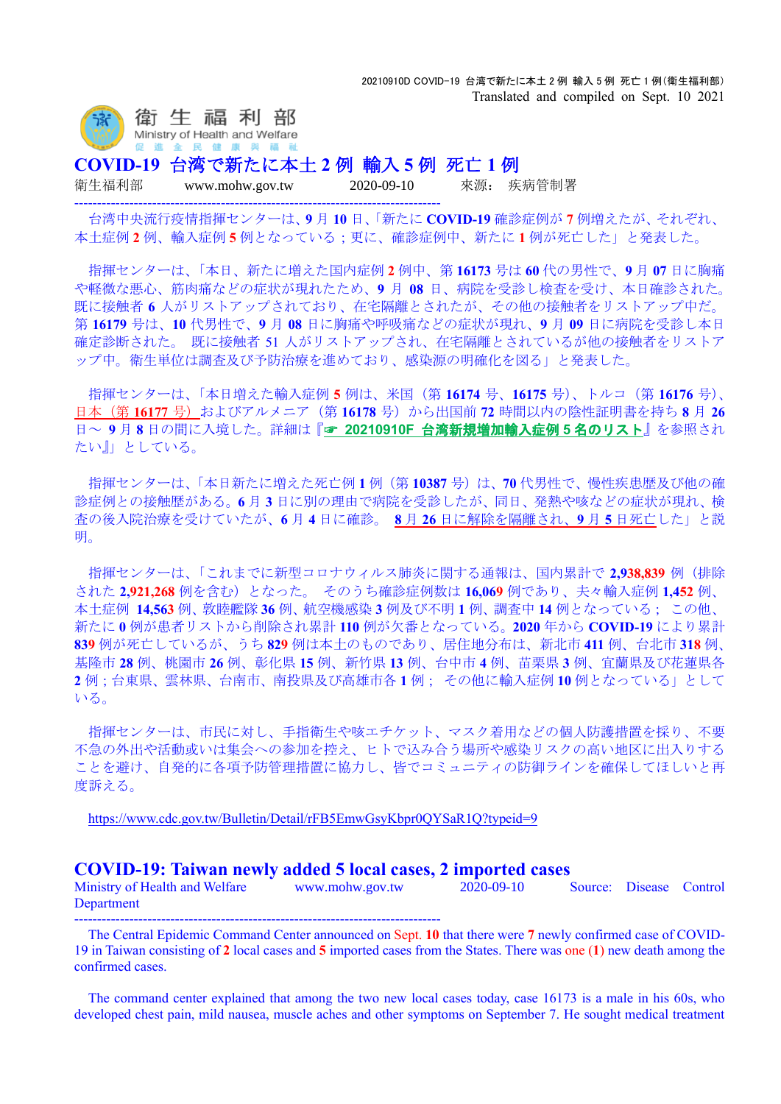

**COVID-19** 台湾で新たに本土 **2** 例 輸入 **5** 例 死亡 **1** 例

--------------------------------------------------------------------------------

衛生福利部 www.mohw.gov.tw 2020-09-10 來源: 疾病管制署

台湾中央流行疫情指揮センターは、**9** 月 **10** 日、「新たに **COVID-19** 確診症例が **7** 例増えたが、それぞれ、 本土症例 **2** 例、輸入症例 **5** 例となっている;更に、確診症例中、新たに **1** 例が死亡した」と発表した。

指揮センターは、「本日、新たに増えた国内症例 **2** 例中、第 **16173** 号は **60** 代の男性で、**9** 月 **07** 日に胸痛 や軽微な悪心、筋肉痛などの症状が現れたため、**9** 月 **08** 日、病院を受診し検査を受け、本日確診された。 既に接触者 **6** 人がリストアップされており、在宅隔離とされたが、その他の接触者をリストアップ中だ。 第 **16179** 号は、**10** 代男性で、**9** 月 **08** 日に胸痛や呼吸痛などの症状が現れ、**9** 月 **09** 日に病院を受診し本日 確定診断された。 既に接触者 51 人がリストアップされ、在宅隔離とされているが他の接触者をリストア ップ中。衛生単位は調査及び予防治療を進めており、感染源の明確化を図る」と発表した。

指揮センターは、「本日増えた輸入症例 **5** 例は、米国(第 **16174** 号、**16175** 号)、トルコ(第 **16176** 号)、 日本(第16177号)およびアルメニア(第16178号)から出国前 72 時間以内の陰性証明書を持ち 8 月 26 日~ **9** 月 **8** 日の間に入境した。詳細は『☞ **20210910F** [台湾新規増加輸入症例](https://www.mi-jch.com/wp-content/uploads/2021/09/1b858a946d245c8a9ccd6d5e0187cf0c.xlsx) **5** 名のリスト』を参照され たい』」としている。

指揮センターは、「本日新たに増えた死亡例 **1** 例(第 **10387** 号)は、**70** 代男性で、慢性疾患歴及び他の確 診症例との接触歴がある。**6** 月 **3** 日に別の理由で病院を受診したが、同日、発熱や咳などの症状が現れ、検 査の後入院治療を受けていたが、**6** 月 **4** 日に確診。 **8** 月 **26** 日に解除を隔離され、**9** 月 **5** 日死亡した」と説 明。

指揮センターは、「これまでに新型コロナウィルス肺炎に関する通報は、国内累計で **2,938,839** 例(排除 された **2,921,268** 例を含む)となった。 そのうち確診症例数は **16,069** 例であり、夫々輸入症例 **1,452** 例、 本土症例 **14,563** 例、敦睦艦隊 **36** 例、航空機感染 **3** 例及び不明 **1** 例、調査中 **14** 例となっている; この他、 新たに **0** 例が患者リストから削除され累計 **110** 例が欠番となっている。**2020** 年から **COVID-19** により累計 **839** 例が死亡しているが、うち **829** 例は本土のものであり、居住地分布は、新北市 **411** 例、台北市 **318** 例、 基隆市 **28** 例、桃園市 **26** 例、彰化県 **15** 例、新竹県 **13** 例、台中市 **4** 例、苗栗県 **3** 例、宜蘭県及び花蓮県各 **2** 例;台東県、雲林県、台南市、南投県及び高雄市各 **1** 例; その他に輸入症例 **10** 例となっている」として いる。

指揮センターは、市民に対し、手指衛生や咳エチケット、マスク着用などの個人防護措置を採り、不要 不急の外出や活動或いは集会への参加を控え、ヒトで込み合う場所や感染リスクの高い地区に出入りする ことを避け、自発的に各項予防管理措置に協力し、皆でコミュニティの防御ラインを確保してほしいと再 度訴える。

<https://www.cdc.gov.tw/Bulletin/Detail/rFB5EmwGsyKbpr0QYSaR1Q?typeid=9>

## **COVID-19: Taiwan newly added 5 local cases, 2 imported cases**

Ministry of Health and Welfare www.mohw.gov.tw 2020-09-10 Source: Disease Control Department

--------------------------------------------------------------------------------

The Central Epidemic Command Center announced on Sept. **10** that there were **7** newly confirmed case of COVID-19 in Taiwan consisting of **2** local cases and **5** imported cases from the States. There was one (**1**) new death among the confirmed cases.

The command center explained that among the two new local cases today, case 16173 is a male in his 60s, who developed chest pain, mild nausea, muscle aches and other symptoms on September 7. He sought medical treatment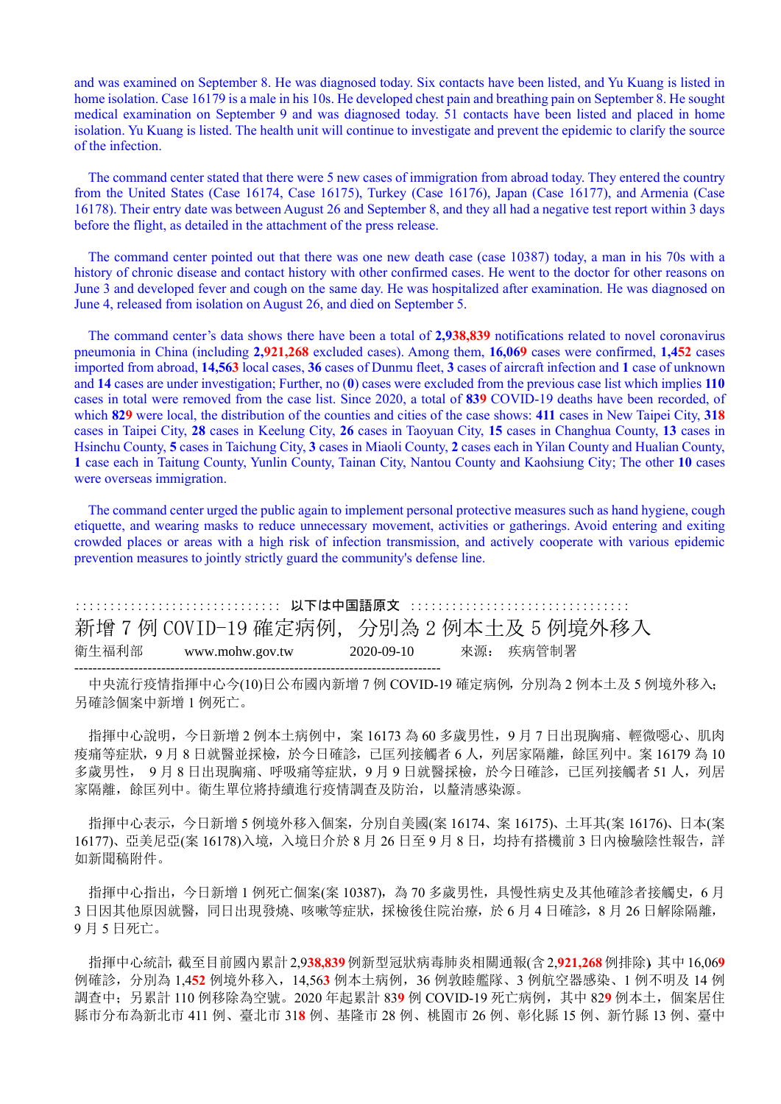and was examined on September 8. He was diagnosed today. Six contacts have been listed, and Yu Kuang is listed in home isolation. Case 16179 is a male in his 10s. He developed chest pain and breathing pain on September 8. He sought medical examination on September 9 and was diagnosed today. 51 contacts have been listed and placed in home isolation. Yu Kuang is listed. The health unit will continue to investigate and prevent the epidemic to clarify the source of the infection.

The command center stated that there were 5 new cases of immigration from abroad today. They entered the country from the United States (Case 16174, Case 16175), Turkey (Case 16176), Japan (Case 16177), and Armenia (Case 16178). Their entry date was between August 26 and September 8, and they all had a negative test report within 3 days before the flight, as detailed in the attachment of the press release.

The command center pointed out that there was one new death case (case 10387) today, a man in his 70s with a history of chronic disease and contact history with other confirmed cases. He went to the doctor for other reasons on June 3 and developed fever and cough on the same day. He was hospitalized after examination. He was diagnosed on June 4, released from isolation on August 26, and died on September 5.

The command center's data shows there have been a total of **2,938,839** notifications related to novel coronavirus pneumonia in China (including **2,921,268** excluded cases). Among them, **16,069** cases were confirmed, **1,452** cases imported from abroad, **14,563** local cases, **36** cases of Dunmu fleet, **3** cases of aircraft infection and **1** case of unknown and **14** cases are under investigation; Further, no (**0**) cases were excluded from the previous case list which implies **110** cases in total were removed from the case list. Since 2020, a total of **839** COVID-19 deaths have been recorded, of which **829** were local, the distribution of the counties and cities of the case shows: **411** cases in New Taipei City, **318** cases in Taipei City, **28** cases in Keelung City, **26** cases in Taoyuan City, **15** cases in Changhua County, **13** cases in Hsinchu County, **5** cases in Taichung City, **3** cases in Miaoli County, **2** cases each in Yilan County and Hualian County, **1** case each in Taitung County, Yunlin County, Tainan City, Nantou County and Kaohsiung City; The other **10** cases were overseas immigration.

The command center urged the public again to implement personal protective measures such as hand hygiene, cough etiquette, and wearing masks to reduce unnecessary movement, activities or gatherings. Avoid entering and exiting crowded places or areas with a high risk of infection transmission, and actively cooperate with various epidemic prevention measures to jointly strictly guard the community's defense line.

:::::::::::::::::::::::::::::: 以下は中国語原文 :::::::::::::::::::::::::::::::: 新增 7 例 COVID-19 確定病例,分別為 2 例本土及 5 例境外移入 衛生福利部 www.mohw.gov.tw 2020-09-10 來源: 疾病管制署 --------------------------------------------------------------------------------

中央流行疫情指揮中心今(10)日公布國內新增 7 例 COVID-19 確定病例, 分別為 2 例本土及 5 例境外移入; 另確診個案中新增 1 例死亡。

指揮中心說明,今日新增 2 例本土病例中,案 16173 為 60 多歲男性,9 月 7 日出現胸痛、輕微噁心、肌肉 痠痛等症狀,9 月 8 日就醫並採檢,於今日確診,已匡列接觸者 6 人,列居家隔離,餘匡列中。案 16179 為 10 多歲男性, 9月8日出現胸痛、呼吸痛等症狀,9月9日就醫採檢,於今日確診,已匡列接觸者 51人,列居 家隔離,餘匡列中。衛生單位將持續進行疫情調查及防治,以釐清感染源。

指揮中心表示,今日新增 5 例境外移入個案,分別自美國(案 16174、案 16175)、土耳其(案 16176)、日本(案 16177)、亞美尼亞(案 16178)入境, 入境日介於 8 月 26 日至 9 月 8 日, 均持有搭機前 3 日内檢驗陰性報告, 詳 如新聞稿附件。

指揮中心指出,今日新增 1 例死亡個案(案 10387), 為 70 多歲男性, 具慢性病史及其他確診者接觸史, 6 月 3 日因其他原因就醫,同日出現發燒、咳嗽等症狀,採檢後住院治療,於 6 月 4 日確診, 8 月 26 日解除隔離, 9 月 5 日死亡。

指揮中心統計,截至目前國內累計2,9**38,839**例新型冠狀病毒肺炎相關通報(含2,**921,268**例排除),其中16,06**9** 例確診,分別為 1,4**52** 例境外移入,14,56**3** 例本土病例,36 例敦睦艦隊、3 例航空器感染、1 例不明及 14 例 調查中;另累計 110 例移除為空號。2020 年起累計 83**9** 例 COVID-19 死亡病例,其中 82**9** 例本土,個案居住 縣市分布為新北市 411 例、臺北市 31**8** 例、基隆市 28 例、桃園市 26 例、彰化縣 15 例、新竹縣 13 例、臺中